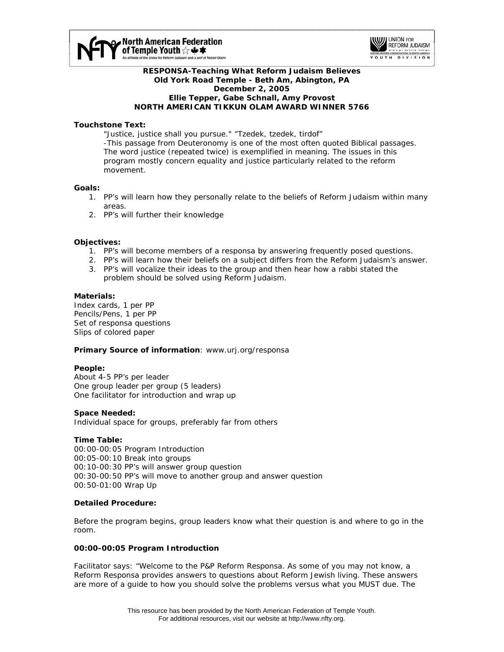



### **RESPONSA-Teaching What Reform Judaism Believes Old York Road Temple - Beth Am, Abington, PA December 2, 2005 Ellie Tepper, Gabe Schnall, Amy Provost NORTH AMERICAN TIKKUN OLAM AWARD WINNER 5766**

### **Touchstone Text:**

"Justice, justice shall you pursue." "Tzedek, tzedek, tirdof"

-This passage from Deuteronomy is one of the most often quoted Biblical passages. The word justice (repeated twice) is exemplified in meaning. The issues in this program mostly concern equality and justice particularly related to the reform movement.

### **Goals:**

- 1. PP's will learn how they personally relate to the beliefs of Reform Judaism within many areas.
- 2. PP's will further their knowledge

### **Objectives:**

- 1. PP's will become members of a responsa by answering frequently posed questions.
- 2. PP's will learn how their beliefs on a subject differs from the Reform Judaism's answer.
- 3. PP's will vocalize their ideas to the group and then hear how a rabbi stated the problem should be solved using Reform Judaism.

### **Materials:**

Index cards, 1 per PP Pencils/Pens, 1 per PP Set of responsa questions Slips of colored paper

## **Primary Source of information**: www.urj.org/responsa

### **People:**

About 4-5 PP's per leader One group leader per group (5 leaders) One facilitator for introduction and wrap up

## **Space Needed:**

Individual space for groups, preferably far from others

### **Time Table:**

00:00-00:05 Program Introduction 00:05-00:10 Break into groups 00:10-00:30 PP's will answer group question 00:30-00:50 PP's will move to another group and answer question 00:50-01:00 Wrap Up

### **Detailed Procedure:**

Before the program begins, group leaders know what their question is and where to go in the room.

### **00:00-00:05 Program Introduction**

Facilitator says: "Welcome to the P&P Reform Responsa. As some of you may not know, a Reform Responsa provides answers to questions about Reform Jewish living. These answers are more of a guide to how you should solve the problems versus what you MUST due. The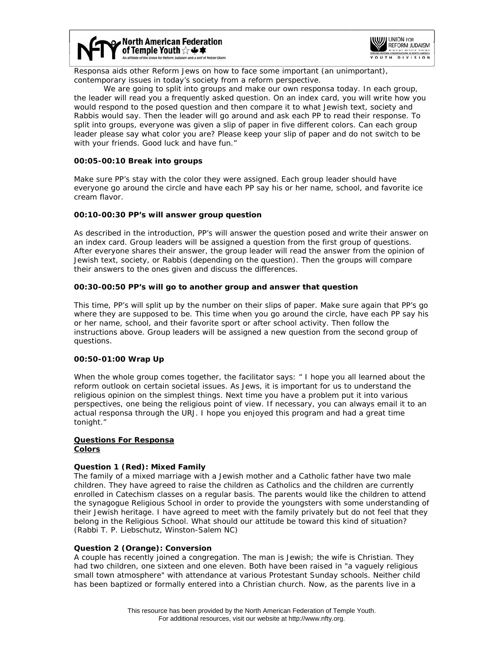



Responsa aids other Reform Jews on how to face some important (an unimportant), contemporary issues in today's society from a reform perspective.

We are going to split into groups and make our own responsa today. In each group, the leader will read you a frequently asked question. On an index card, you will write how you would respond to the posed question and then compare it to what Jewish text, society and Rabbis would say. Then the leader will go around and ask each PP to read their response. To split into groups, everyone was given a slip of paper in five different colors. Can each group leader please say what color you are? Please keep your slip of paper and do not switch to be with your friends. Good luck and have fun."

### **00:05-00:10 Break into groups**

Make sure PP's stay with the color they were assigned. Each group leader should have everyone go around the circle and have each PP say his or her name, school, and favorite ice cream flavor.

### **00:10-00:30 PP's will answer group question**

As described in the introduction, PP's will answer the question posed and write their answer on an index card. Group leaders will be assigned a question from the first group of questions. After everyone shares their answer, the group leader will read the answer from the opinion of Jewish text, society, or Rabbis (depending on the question). Then the groups will compare their answers to the ones given and discuss the differences.

### **00:30-00:50 PP's will go to another group and answer that question**

This time, PP's will split up by the number on their slips of paper. Make sure again that PP's go where they are supposed to be. This time when you go around the circle, have each PP say his or her name, school, and their favorite sport or after school activity. Then follow the instructions above. Group leaders will be assigned a new question from the second group of questions.

### **00:50-01:00 Wrap Up**

When the whole group comes together, the facilitator says: "I hope you all learned about the reform outlook on certain societal issues. As Jews, it is important for us to understand the religious opinion on the simplest things. Next time you have a problem put it into various perspectives, one being the religious point of view. If necessary, you can always email it to an actual responsa through the URJ. I hope you enjoyed this program and had a great time tonight."

#### **Questions For Responsa Colors**

### **Question 1 (Red): Mixed Family**

The family of a mixed marriage with a Jewish mother and a Catholic father have two male children. They have agreed to raise the children as Catholics and the children are currently enrolled in Catechism classes on a regular basis. The parents would like the children to attend the synagogue Religious School in order to provide the youngsters with some understanding of their Jewish heritage. I have agreed to meet with the family privately but do not feel that they belong in the Religious School. What should our attitude be toward this kind of situation? (Rabbi T. P. Liebschutz, Winston-Salem NC)

## **Question 2 (Orange): Conversion**

A couple has recently joined a congregation. The man is Jewish; the wife is Christian. They had two children, one sixteen and one eleven. Both have been raised in "a vaguely religious small town atmosphere" with attendance at various Protestant Sunday schools. Neither child has been baptized or formally entered into a Christian church. Now, as the parents live in a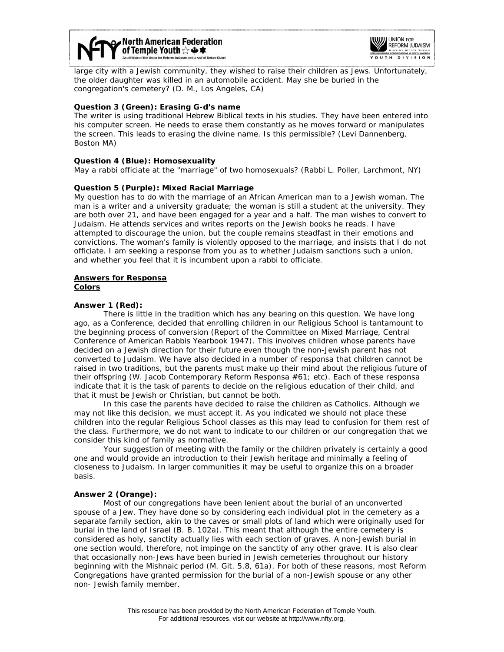



large city with a Jewish community, they wished to raise their children as Jews. Unfortunately, the older daughter was killed in an automobile accident. May she be buried in the congregation's cemetery? (D. M., Los Angeles, CA)

### **Question 3 (Green): Erasing G-d's name**

The writer is using traditional Hebrew Biblical texts in his studies. They have been entered into his computer screen. He needs to erase them constantly as he moves forward or manipulates the screen. This leads to erasing the divine name. Is this permissible? (Levi Dannenberg, Boston MA)

### **Question 4 (Blue): Homosexuality**

May a rabbi officiate at the "marriage" of two homosexuals? (Rabbi L. Poller, Larchmont, NY)

### **Question 5 (Purple): Mixed Racial Marriage**

My question has to do with the marriage of an African American man to a Jewish woman. The man is a writer and a university graduate; the woman is still a student at the university. They are both over 21, and have been engaged for a year and a half. The man wishes to convert to Judaism. He attends services and writes reports on the Jewish books he reads. I have attempted to discourage the union, but the couple remains steadfast in their emotions and convictions. The woman's family is violently opposed to the marriage, and insists that I do not officiate. I am seeking a response from you as to whether Judaism sanctions such a union, and whether you feel that it is incumbent upon a rabbi to officiate.

#### **Answers for Responsa Colors**

### **Answer 1 (Red):**

There is little in the tradition which has any bearing on this question. We have long ago, as a Conference, decided that enrolling children in our Religious School is tantamount to the beginning process of conversion (Report of the Committee on Mixed Marriage, *Central Conference of American Rabbis Yearbook* 1947). This involves children whose parents have decided on a Jewish direction for their future even though the non-Jewish parent has not converted to Judaism. We have also decided in a number of responsa that children cannot be raised in two traditions, but the parents must make up their mind about the religious future of their offspring (W. Jacob *Contemporary Reform Responsa* #61; etc). Each of these responsa indicate that it is the task of parents to decide on the religious education of their child, and that it must be Jewish or Christian, but cannot be both.

In this case the parents have decided to raise the children as Catholics. Although we may not like this decision, we must accept it. As you indicated we should not place these children into the regular Religious School classes as this may lead to confusion for them rest of the class. Furthermore, we do not want to indicate to our children or our congregation that we consider this kind of family as normative.

Your suggestion of meeting with the family or the children privately is certainly a good one and would provide an introduction to their Jewish heritage and minimally a feeling of closeness to Judaism. In larger communities it may be useful to organize this on a broader basis.

### **Answer 2 (Orange):**

Most of our congregations have been lenient about the burial of an unconverted spouse of a Jew. They have done so by considering each individual plot in the cemetery as a separate family section, akin to the caves or small plots of land which were originally used for burial in the land of Israel (B. B. 102a). This meant that although the entire cemetery is considered as holy, sanctity actually lies with each section of graves. A non-Jewish burial in one section would, therefore, not impinge on the sanctity of any other grave. It is also clear that occasionally non-Jews have been buried in Jewish cemeteries throughout our history beginning with the Mishnaic period (M. Git. 5.8, 61a). For both of these reasons, most Reform Congregations have granted permission for the burial of a non-Jewish spouse or any other non- Jewish family member.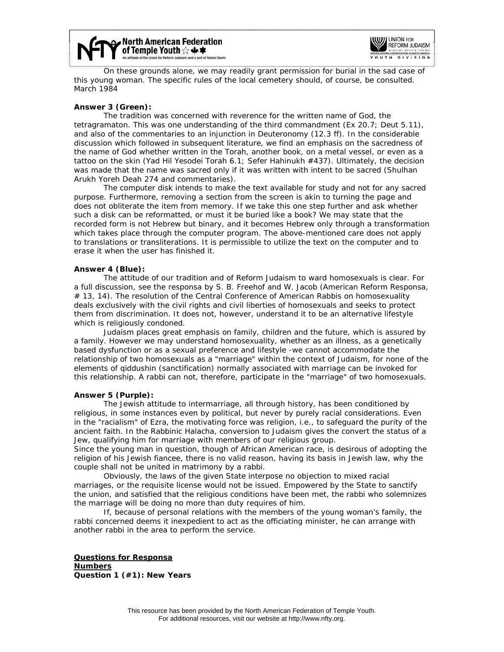



On these grounds alone, we may readily grant permission for burial in the sad case of this young woman. The specific rules of the local cemetery should, of course, be consulted. March 1984

### **Answer 3 (Green):**

The tradition was concerned with reverence for the written name of God, the *tetragramaton.* This was one understanding of the third commandment (Ex 20.7; Deut 5.11), and also of the commentaries to an injunction in Deuteronomy (12.3 ff). In the considerable discussion which followed in subsequent literature, we find an emphasis on the sacredness of the name of God whether written in the *Torah*, another book, on a metal vessel, or even as a tattoo on the skin (*Yad* Hil Yesodei *Torah* 6.1; *Sefer Hahinukh* #437). Ultimately, the decision was made that the name was sacred only if it was written with intent to be sacred (*Shulhan Arukh* Yoreh Deah 274 and commentaries).

The computer disk intends to make the text available for study and not for any sacred purpose. Furthermore, removing a section from the screen is akin to turning the page and does not obliterate the item from memory. If we take this one step further and ask whether such a disk can be reformatted, or must it be buried like a book? We may state that the recorded form is not Hebrew but binary, and it becomes Hebrew only through a transformation which takes place through the computer program. The above-mentioned care does not apply to translations or transliterations. It is permissible to utilize the text on the computer and to erase it when the user has finished it.

### **Answer 4 (Blue):**

The attitude of our tradition and of Reform Judaism to ward homosexuals is clear. For a full discussion, see the responsa by S. B. Freehof and W. Jacob (*American Reform Responsa,*  $#$  13, 14). The resolution of the Central Conference of American Rabbis on homosexuality deals exclusively with the civil rights and civil liberties of homosexuals and seeks to protect them from discrimination. It does not, however, understand it to be an alternative lifestyle which is religiously condoned.

Judaism places great emphasis on family, children and the future, which is assured by a family. However we may understand homosexuality, whether as an illness, as a genetically based dysfunction or as a sexual preference and lifestyle -we cannot accommodate the relationship of two homosexuals as a "marriage" within the context of Judaism, for none of the elements of *qiddushin* (sanctification) normally associated with marriage can be invoked for this relationship. A rabbi can not, therefore, participate in the "marriage" of two homosexuals.

### **Answer 5 (Purple):**

The Jewish attitude to intermarriage, all through history, has been conditioned by religious, in some instances even by political, but never by purely racial considerations. Even in the "racialism" of Ezra, the motivating force was religion, i.e., to safeguard the purity of the ancient faith. In the Rabbinic *Halacha*, conversion to Judaism gives the convert the status of a Jew, qualifying him for marriage with members of our religious group.

Since the young man in question, though of African American race, is desirous of adopting the religion of his Jewish fiancee, there is no valid reason, having its basis in Jewish law, why the couple shall not be united in matrimony by a rabbi.

Obviously, the laws of the given State interpose no objection to mixed racial marriages, or the requisite license would not be issued. Empowered by the State to sanctify the union, and satisfied that the religious conditions have been met, the rabbi who solemnizes the marriage will be doing no more than duty requires of him.

If, because of personal relations with the members of the young woman's family, the rabbi concerned deems it inexpedient to act as the officiating minister, he can arrange with another rabbi in the area to perform the service.

**Questions for Responsa Numbers Question 1 (#1): New Years**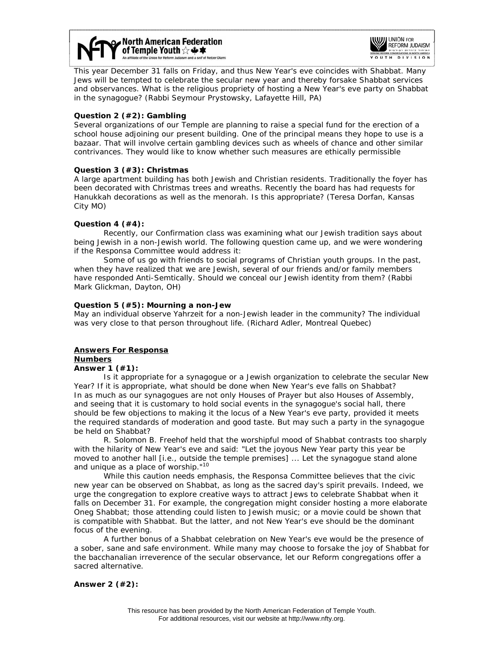

This year December 31 falls on Friday, and thus New Year's eve coincides with Shabbat. Many Jews will be tempted to celebrate the secular new year and thereby forsake Shabbat services and observances. What is the religious propriety of hosting a New Year's eve party on Shabbat in the synagogue? (Rabbi Seymour Prystowsky, Lafayette Hill, PA)

## **Question 2 (#2): Gambling**

Several organizations of our Temple are planning to raise a special fund for the erection of a school house adjoining our present building. One of the principal means they hope to use is a bazaar. That will involve certain gambling devices such as wheels of chance and other similar contrivances. They would like to know whether such measures are ethically permissible

### **Question 3 (#3): Christmas**

A large apartment building has both Jewish and Christian residents. Traditionally the foyer has been decorated with Christmas trees and wreaths. Recently the board has had requests for *Hanukkah* decorations as well as the *menorah.* Is this appropriate? (Teresa Dorfan, Kansas City MO)

### **Question 4 (#4):**

Recently, our Confirmation class was examining what our Jewish tradition says about being Jewish in a non-Jewish world. The following question came up, and we were wondering if the Responsa Committee would address it:

Some of us go with friends to social programs of Christian youth groups. In the past, when they have realized that we are Jewish, several of our friends and/or family members have responded Anti-Semtically. Should we conceal our Jewish identity from them? (Rabbi Mark Glickman, Dayton, OH)

### **Question 5 (#5): Mourning a non-Jew**

May an individual observe *Yahrzeit* for a non-Jewish leader in the community? The individual was very close to that person throughout life. (Richard Adler, Montreal Quebec)

## **Answers For Responsa**

# **Numbers**

### **Answer 1 (#1):**

Is it appropriate for a synagogue or a Jewish organization to celebrate the secular New Year? If it is appropriate, what should be done when New Year's eve falls on Shabbat? In as much as our synagogues are not only Houses of Prayer but also Houses of Assembly, and seeing that it is customary to hold social events in the synagogue's social hall, there should be few objections to making it the locus of a New Year's eve party, provided it meets the required standards of moderation and good taste. But may such a party in the synagogue be held on Shabbat?

R. Solomon B. Freehof held that the worshipful mood of Shabbat contrasts too sharply with the hilarity of New Year's eve and said: "Let the joyous New Year party this year be moved to another hall [i.e., outside the temple premises] ... Let the synagogue stand alone and unique as a place of worship."10

While this caution needs emphasis, the Responsa Committee believes that the civic new year *can* be observed on Shabbat, as long as the sacred day's spirit prevails. Indeed, we urge the congregation to explore creative ways to attract Jews to celebrate Shabbat when it falls on December 31. For example, the congregation might consider hosting a more elaborate *Oneg Shabbat;* those attending could listen to Jewish music; or a movie could be shown that is compatible with Shabbat. But the latter, and not New Year's eve should be the dominant focus of the evening.

A further bonus of a Shabbat celebration on New Year's eve would be the presence of a sober, sane and safe environment. While many may choose to forsake the joy of Shabbat for the bacchanalian irreverence of the secular observance, let our Reform congregations offer a sacred alternative.

### **Answer 2 (#2):**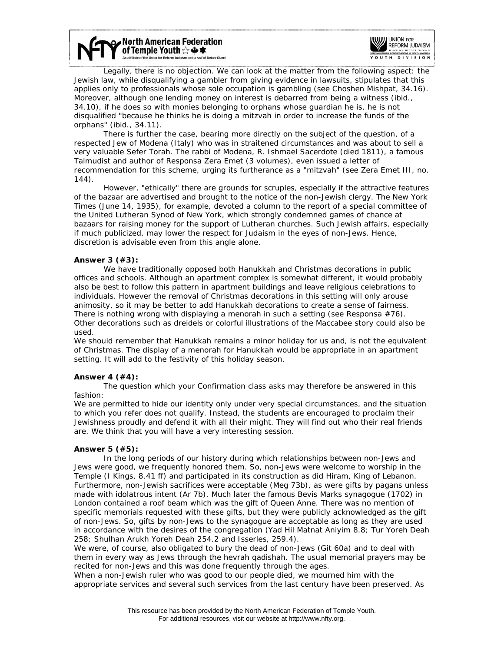



Legally, there is no objection. We can look at the matter from the following aspect: the Jewish law, while disqualifying a gambler from giving evidence in lawsuits, stipulates that this applies only to professionals whose sole occupation is gambling (see Choshen Mishpat, 34.16). Moreover, although one lending money on interest is debarred from being a witness (ibid., 34.10), if he does so with monies belonging to orphans whose guardian he is, he is not disqualified "because he thinks he is doing a *mitzvah* in order to increase the funds of the orphans" (*ibid.,* 34.11).

There is further the case, bearing more directly on the subject of the question, of a respected Jew of Modena (Italy) who was in straitened circumstances and was about to sell a very valuable *Sefer Torah*. The rabbi of Modena, R. Ishmael Sacerdote (died 1811), a famous Talmudist and author of *Responsa Zera Eme*t (3 volumes), even issued a letter of recommendation for this scheme, urging its furtherance as a "*mitzvah*" (see *Zera Emet* III, no. 144).

However, "ethically" there are grounds for scruples, especially if the attractive features of the bazaar are advertised and brought to the notice of the non-Jewish clergy. The *New York Times* (June 14, 1935), for example, devoted a column to the report of a special committee of the United Lutheran Synod of New York, which strongly condemned games of chance at bazaars for raising money for the support of Lutheran churches. Such Jewish affairs, especially if much publicized, may lower the respect for Judaism in the eyes of non-Jews. Hence, discretion is advisable even from this angle alone.

### **Answer 3 (#3):**

We have traditionally opposed both *Hanukkah* and Christmas decorations in public offices and schools. Although an apartment complex is somewhat different, it would probably also be best to follow this pattern in apartment buildings and leave religious celebrations to individuals. However the removal of Christmas decorations in this setting will only arouse animosity, so it may be better to add *Hanukkah* decorations to create a sense of fairness. There is nothing wrong with displaying a *menorah* in such a setting (see *Responsa* #76). Other decorations such as *dreidels* or colorful illustrations of the Maccabee story could also be used.

We should remember that *Hanukkah* remains a minor holiday for us and, is not the equivalent of Christmas. The display of a *menorah* for *Hanukkah* would be appropriate in an apartment setting. It will add to the festivity of this holiday season.

### **Answer 4 (#4):**

The question which your Confirmation class asks may therefore be answered in this fashion:

We are permitted to hide our identity only under very special circumstances, and the situation to which you refer does not qualify. Instead, the students are encouraged to proclaim their Jewishness proudly and defend it with all their might. They will find out who their real friends are. We think that you will have a very interesting session.

### **Answer 5 (#5):**

In the long periods of our history during which relationships between non-Jews and Jews were good, we frequently honored them. So, non-Jews were welcome to worship in the Temple (I Kings, 8.41 ff) and participated in its construction as did Hiram, King of Lebanon. Furthermore, non-Jewish sacrifices were acceptable (Meg 73b), as were gifts by pagans unless made with idolatrous intent (Ar 7b). Much later the famous Bevis Marks synagogue (1702) in London contained a roof beam which was the gift of Queen Anne. There was no mention of specific memorials requested with these gifts, but they were publicly acknowledged as the gift of non-Jews. So, gifts by non-Jews to the synagogue are acceptable as long as they are used in accordance with the desires of the congregation (*Yad* Hil Matnat Aniyim 8.8; *Tur* Yoreh Deah 258; *Shulhan Arukh* Yoreh Deah 254.2 and Isserles, 259.4).

We were, of course, also obligated to bury the dead of non-Jews (Git 60a) and to deal with them in every way as Jews through the *hevrah qadishah*. The usual memorial prayers may be recited for non-Jews and this was done frequently through the ages.

When a non-Jewish ruler who was good to our people died, we mourned him with the appropriate services and several such services from the last century have been preserved. As